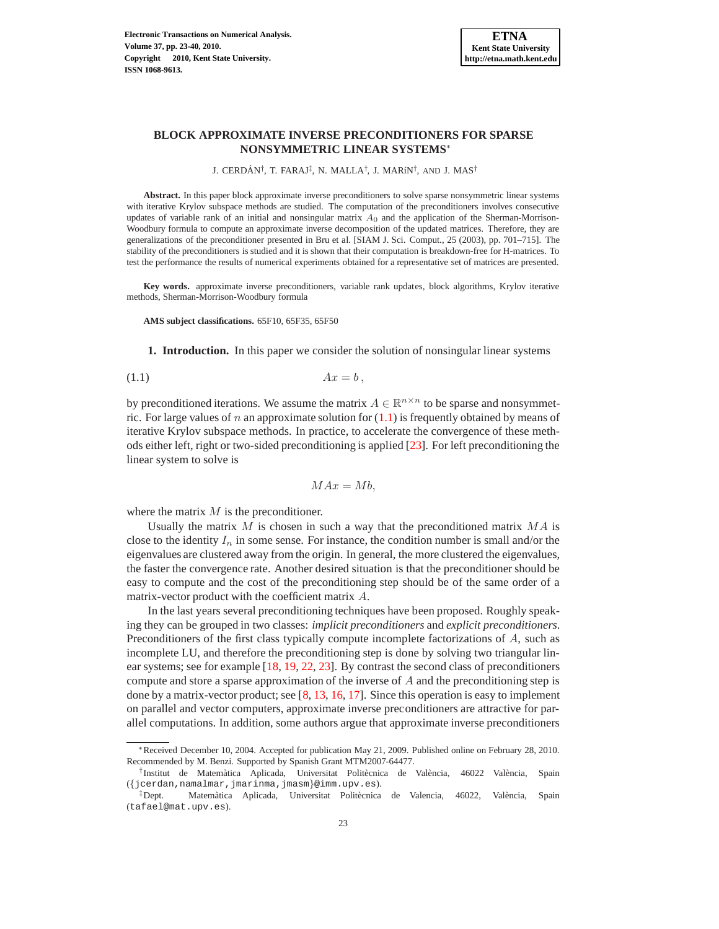# **BLOCK APPROXIMATE INVERSE PRECONDITIONERS FOR SPARSE NONSYMMETRIC LINEAR SYSTEMS**<sup>∗</sup>

J. CERDÁN<sup>†</sup>, T. FARAJ<sup>‡</sup>, N. MALLA<sup>†</sup>, J. MARíN<sup>†</sup>, AND J. MAS<sup>†</sup>

**Abstract.** In this paper block approximate inverse preconditioners to solve sparse nonsymmetric linear systems with iterative Krylov subspace methods are studied. The computation of the preconditioners involves consecutive updates of variable rank of an initial and nonsingular matrix  $A_0$  and the application of the Sherman-Morrison-Woodbury formula to compute an approximate inverse decomposition of the updated matrices. Therefore, they are generalizations of the preconditioner presented in Bru et al. [SIAM J. Sci. Comput., 25 (2003), pp. 701–715]. The stability of the preconditioners is studied and it is shown that their computation is breakdown-free for H-matrices. To test the performance the results of numerical experiments obtained for a representative set of matrices are presented.

**Key words.** approximate inverse preconditioners, variable rank updates, block algorithms, Krylov iterative methods, Sherman-Morrison-Woodbury formula

**AMS subject classifications.** 65F10, 65F35, 65F50

**1. Introduction.** In this paper we consider the solution of nonsingular linear systems

$$
(1.1) \t\t Ax = b,
$$

by preconditioned iterations. We assume the matrix  $A \in \mathbb{R}^{n \times n}$  to be sparse and nonsymmetric. For large values of  $n$  an approximate solution for  $(1.1)$  is frequently obtained by means of iterative Krylov subspace methods. In practice, to accelerate the convergence of these methods either left, right or two-sided preconditioning is applied [\[23\]](#page-17-0). For left preconditioning the linear system to solve is

<span id="page-0-0"></span>
$$
MAx = Mb,
$$

where the matrix  $M$  is the preconditioner.

Usually the matrix  $M$  is chosen in such a way that the preconditioned matrix  $MA$  is close to the identity  $I_n$  in some sense. For instance, the condition number is small and/or the eigenvalues are clustered away from the origin. In general, the more clustered the eigenvalues, the faster the convergence rate. Another desired situation is that the preconditioner should be easy to compute and the cost of the preconditioning step should be of the same order of a matrix-vector product with the coefficient matrix A.

In the last years several preconditioning techniques have been proposed. Roughly speaking they can be grouped in two classes: *implicit preconditioners* and *explicit preconditioners*. Preconditioners of the first class typically compute incomplete factorizations of A, such as incomplete LU, and therefore the preconditioning step is done by solving two triangular linear systems; see for example [\[18,](#page-17-1) [19,](#page-17-2) [22,](#page-17-3) [23\]](#page-17-0). By contrast the second class of preconditioners compute and store a sparse approximation of the inverse of  $A$  and the preconditioning step is done by a matrix-vector product; see  $[8, 13, 16, 17]$  $[8, 13, 16, 17]$  $[8, 13, 16, 17]$  $[8, 13, 16, 17]$  $[8, 13, 16, 17]$  $[8, 13, 16, 17]$  $[8, 13, 16, 17]$ . Since this operation is easy to implement on parallel and vector computers, approximate inverse preconditioners are attractive for parallel computations. In addition, some authors argue that approximate inverse preconditioners

<sup>∗</sup>Received December 10, 2004. Accepted for publication May 21, 2009. Published online on February 28, 2010. Recommended by M. Benzi. Supported by Spanish Grant MTM2007-64477.

<sup>&</sup>lt;sup>†</sup>Institut de Matemàtica Aplicada, Universitat Politècnica de València, 46022 València, Spain ({jcerdan,namalmar,jmarinma,jmasm}@imm.upv.es).

<sup>&</sup>lt;sup>‡</sup>Dept. Matemàtica Aplicada, Universitat Politècnica de Valencia, 46022, València, Spain (tafael@mat.upv.es).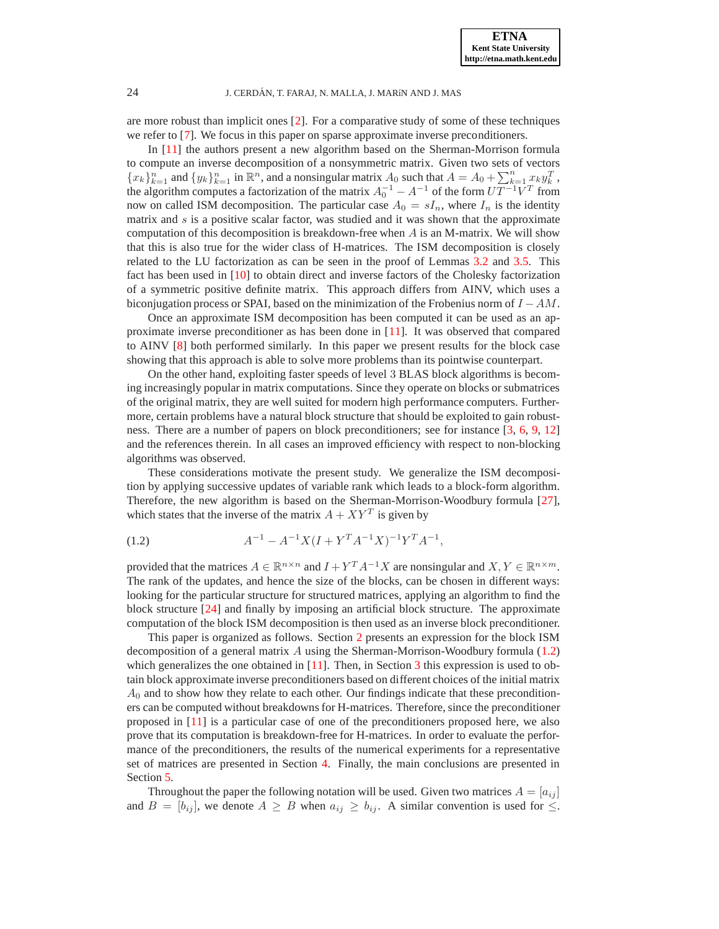are more robust than implicit ones [\[2\]](#page-16-0). For a comparative study of some of these techniques we refer to [\[7\]](#page-17-8). We focus in this paper on sparse approximate inverse preconditioners.

In [\[11\]](#page-17-9) the authors present a new algorithm based on the Sherman-Morrison formula to compute an inverse decomposition of a nonsymmetric matrix. Given two sets of vectors  ${x_k}_{k=1}^n$  and  ${y_k}_{k=1}^n$  in  $\mathbb{R}^n$ , and a nonsingular matrix  $A_0$  such that  $A = A_0 + \sum_{k=1}^n x_k y_k^T$ , the algorithm computes a factorization of the matrix  $A_0^{-1} - A^{-1}$  of the form  $UT^{-1}V^T$  from now on called ISM decomposition. The particular case  $A_0 = sI_n$ , where  $I_n$  is the identity matrix and  $s$  is a positive scalar factor, was studied and it was shown that the approximate computation of this decomposition is breakdown-free when  $A$  is an M-matrix. We will show that this is also true for the wider class of H-matrices. The ISM decomposition is closely related to the LU factorization as can be seen in the proof of Lemmas [3.2](#page-4-0) and [3.5.](#page-8-0) This fact has been used in [\[10\]](#page-17-10) to obtain direct and inverse factors of the Cholesky factorization of a symmetric positive definite matrix. This approach differs from AINV, which uses a biconjugation process or SPAI, based on the minimization of the Frobenius norm of  $I - AM$ .

Once an approximate ISM decomposition has been computed it can be used as an approximate inverse preconditioner as has been done in [\[11\]](#page-17-9). It was observed that compared to AINV [\[8\]](#page-17-4) both performed similarly. In this paper we present results for the block case showing that this approach is able to solve more problems than its pointwise counterpart.

On the other hand, exploiting faster speeds of level 3 BLAS block algorithms is becoming increasingly popular in matrix computations. Since they operate on blocks or submatrices of the original matrix, they are well suited for modern high performance computers. Furthermore, certain problems have a natural block structure that should be exploited to gain robustness. There are a number of papers on block preconditioners; see for instance [\[3,](#page-16-1) [6,](#page-17-11) [9,](#page-17-12) [12\]](#page-17-13) and the references therein. In all cases an improved efficiency with respect to non-blocking algorithms was observed.

These considerations motivate the present study. We generalize the ISM decomposition by applying successive updates of variable rank which leads to a block-form algorithm. Therefore, the new algorithm is based on the Sherman-Morrison-Woodbury formula [\[27\]](#page-17-14), which states that the inverse of the matrix  $A + XY^T$  is given by

<span id="page-1-0"></span>
$$
(1.2) \t\t A^{-1} - A^{-1}X(I + Y^T A^{-1}X)^{-1}Y^T A^{-1},
$$

provided that the matrices  $A \in \mathbb{R}^{n \times n}$  and  $I + Y^T A^{-1} X$  are nonsingular and  $X, Y \in \mathbb{R}^{n \times m}$ . The rank of the updates, and hence the size of the blocks, can be chosen in different ways: looking for the particular structure for structured matrices, applying an algorithm to find the block structure [\[24\]](#page-17-15) and finally by imposing an artificial block structure. The approximate computation of the block ISM decomposition is then used as an inverse block preconditioner.

This paper is organized as follows. Section [2](#page-2-0) presents an expression for the block ISM decomposition of a general matrix  $A$  using the Sherman-Morrison-Woodbury formula [\(1.2\)](#page-1-0) which generalizes the one obtained in  $[11]$ . Then, in Section [3](#page-3-0) this expression is used to obtain block approximate inverse preconditioners based on different choices of the initial matrix  $A_0$  and to show how they relate to each other. Our findings indicate that these preconditioners can be computed without breakdowns for H-matrices. Therefore, since the preconditioner proposed in [\[11\]](#page-17-9) is a particular case of one of the preconditioners proposed here, we also prove that its computation is breakdown-free for H-matrices. In order to evaluate the performance of the preconditioners, the results of the numerical experiments for a representative set of matrices are presented in Section [4.](#page-13-0) Finally, the main conclusions are presented in Section [5.](#page-15-0)

Throughout the paper the following notation will be used. Given two matrices  $A = [a_{ij}]$ and  $B = [b_{ij}]$ , we denote  $A \geq B$  when  $a_{ij} \geq b_{ij}$ . A similar convention is used for  $\leq$ .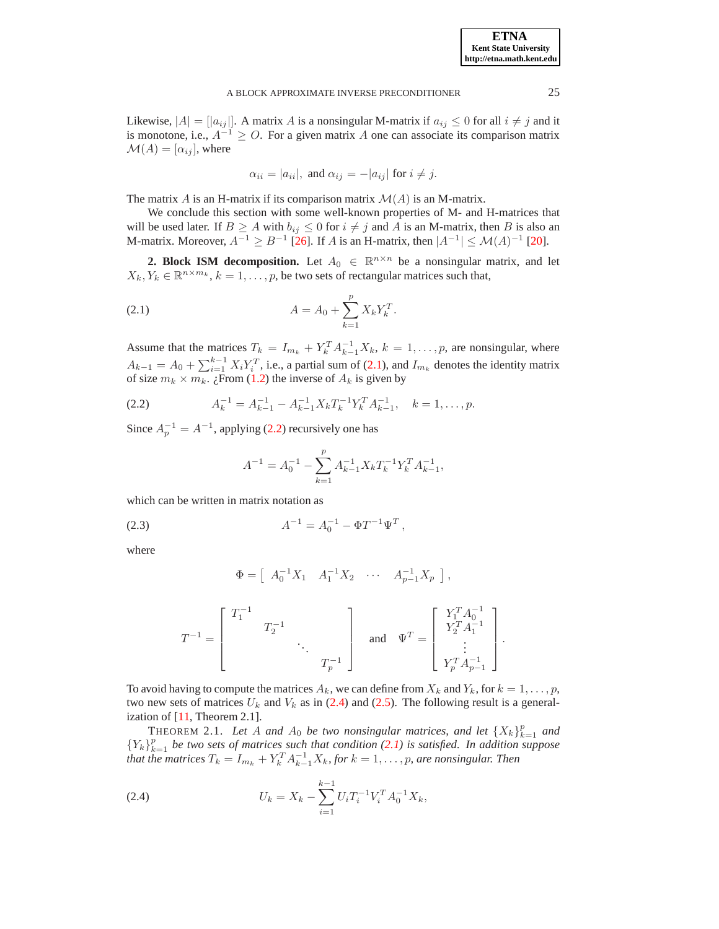Likewise,  $|A| = |a_{ij}|$ . A matrix A is a nonsingular M-matrix if  $a_{ij} \leq 0$  for all  $i \neq j$  and it is monotone, i.e.,  $A^{-1} \geq O$ . For a given matrix A one can associate its comparison matrix  $\mathcal{M}(A) = [\alpha_{ij}],$  where

<span id="page-2-1"></span>
$$
\alpha_{ii} = |a_{ii}|
$$
, and  $\alpha_{ij} = -|a_{ij}|$  for  $i \neq j$ .

The matrix A is an H-matrix if its comparison matrix  $\mathcal{M}(A)$  is an M-matrix.

We conclude this section with some well-known properties of M- and H-matrices that will be used later. If  $B \ge A$  with  $b_{ij} \le 0$  for  $i \ne j$  and A is an M-matrix, then B is also an M-matrix. Moreover,  $A^{-1} \ge B^{-1}$  [\[26\]](#page-17-16). If A is an H-matrix, then  $|A^{-1}| \le M(A)^{-1}$  [\[20\]](#page-17-17).

<span id="page-2-0"></span>**2. Block ISM decomposition.** Let  $A_0 \in \mathbb{R}^{n \times n}$  be a nonsingular matrix, and let  $X_k, Y_k \in \mathbb{R}^{n \times m_k}, k = 1, \ldots, p$ , be two sets of rectangular matrices such that,

(2.1) 
$$
A = A_0 + \sum_{k=1}^{p} X_k Y_k^T.
$$

Assume that the matrices  $T_k = I_{m_k} + Y_k^T A_{k-1}^{-1} X_k$ ,  $k = 1, \ldots, p$ , are nonsingular, where  $A_{k-1} = A_0 + \sum_{i=1}^{k-1} X_i Y_i^T$ , i.e., a partial sum of [\(2.1\)](#page-2-1), and  $I_{m_k}$  denotes the identity matrix of size  $m_k \times m_k$ . ¿From [\(1.2\)](#page-1-0) the inverse of  $A_k$  is given by

(2.2) 
$$
A_k^{-1} = A_{k-1}^{-1} - A_{k-1}^{-1} X_k T_k^{-1} Y_k^T A_{k-1}^{-1}, \quad k = 1, \dots, p.
$$

Since  $A_p^{-1} = A^{-1}$ , applying [\(2.2\)](#page-2-2) recursively one has

<span id="page-2-4"></span><span id="page-2-2"></span>
$$
A^{-1} = A_0^{-1} - \sum_{k=1}^p A_{k-1}^{-1} X_k T_k^{-1} Y_k^T A_{k-1}^{-1},
$$

which can be written in matrix notation as

(2.3) 
$$
A^{-1} = A_0^{-1} - \Phi T^{-1} \Psi^T,
$$

where

<span id="page-2-3"></span>
$$
\Phi = [ A_0^{-1} X_1 \quad A_1^{-1} X_2 \quad \cdots \quad A_{p-1}^{-1} X_p ],
$$

$$
T^{-1}=\left[\begin{array}{cccc}T_1^{-1} & & & \\ & T_2^{-1} & & \\ & & \ddots & \\ & & & T_p^{-1}\end{array}\right] \quad \text{and} \quad \Psi^T=\left[\begin{array}{c}Y_1^TA_0^{-1} \\ Y_2^TA_1^{-1} \\ \vdots \\ Y_p^TA_{p-1}^{-1}\end{array}\right].
$$

To avoid having to compute the matrices  $A_k$ , we can define from  $X_k$  and  $Y_k$ , for  $k = 1, \ldots, p$ , two new sets of matrices  $U_k$  and  $V_k$  as in [\(2.4\)](#page-2-3) and [\(2.5\)](#page-3-1). The following result is a generalization of [\[11,](#page-17-9) Theorem 2.1].

THEOREM 2.1. Let A and  $A_0$  be two nonsingular matrices, and let  $\{X_k\}_{k=1}^p$  and  ${Y_k}_{k=1}^p$  *be two sets of matrices such that condition [\(2.1\)](#page-2-1) is satisfied. In addition suppose* that the matrices  $T_k = I_{m_k} + Y_k^T A_{k-1}^{-1} X_k$ , for  $k = 1, \ldots, p$ , are nonsingular. Then

(2.4) 
$$
U_k = X_k - \sum_{i=1}^{k-1} U_i T_i^{-1} V_i^T A_0^{-1} X_k,
$$

**ETNA Kent State University http://etna.math.kent.edu**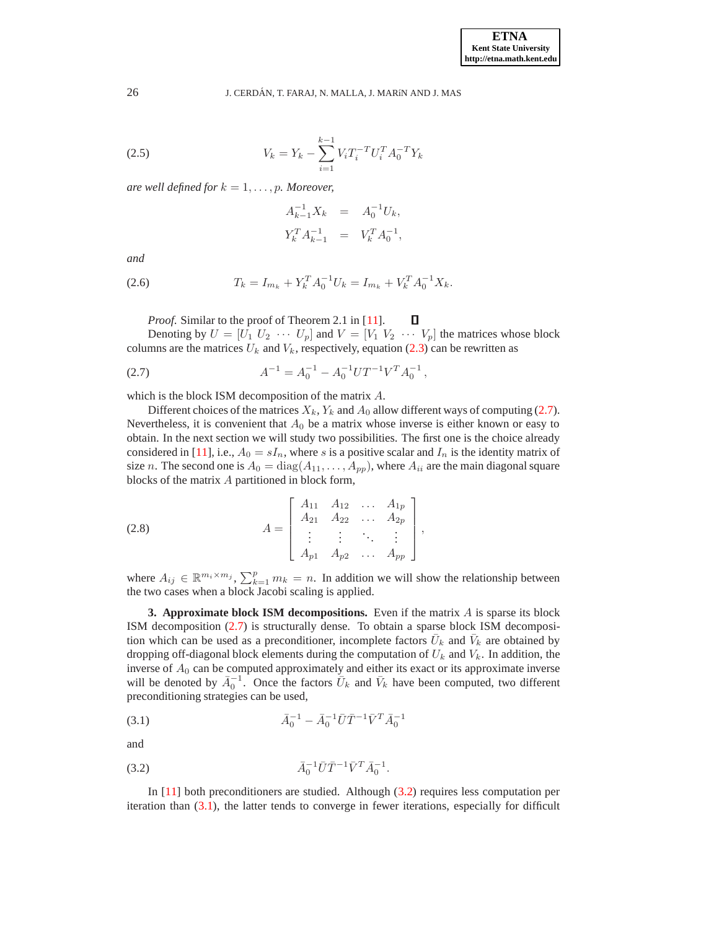<span id="page-3-1"></span>(2.5) 
$$
V_k = Y_k - \sum_{i=1}^{k-1} V_i T_i^{-T} U_i^{T} A_0^{-T} Y_k
$$

*are well defined for*  $k = 1, \ldots, p$ *. Moreover,* 

$$
A_{k-1}^{-1}X_k = A_0^{-1}U_k,
$$
  

$$
Y_k^T A_{k-1}^{-1} = V_k^T A_0^{-1},
$$

<span id="page-3-6"></span>*and*

(2.6) 
$$
T_k = I_{m_k} + Y_k^T A_0^{-1} U_k = I_{m_k} + V_k^T A_0^{-1} X_k.
$$

*Proof.* Similar to the proof of Theorem 2.1 in [\[11\]](#page-17-9).

Denoting by  $U = [\overline{U_1} \ U_2 \ \cdots \ U_p]$  and  $V = [V_1 \ V_2 \ \cdots \ V_p]$  the matrices whose block columns are the matrices  $U_k$  and  $V_k$ , respectively, equation [\(2.3\)](#page-2-4) can be rewritten as

<span id="page-3-2"></span>П

(2.7) 
$$
A^{-1} = A_0^{-1} - A_0^{-1} U T^{-1} V^T A_0^{-1},
$$

which is the block ISM decomposition of the matrix A.

Different choices of the matrices  $X_k$ ,  $Y_k$  and  $A_0$  allow different ways of computing [\(2.7\)](#page-3-2). Nevertheless, it is convenient that  $A_0$  be a matrix whose inverse is either known or easy to obtain. In the next section we will study two possibilities. The first one is the choice already considered in [\[11\]](#page-17-9), i.e.,  $A_0 = sI_n$ , where s is a positive scalar and  $I_n$  is the identity matrix of size *n*. The second one is  $A_0 = \text{diag}(A_{11}, \ldots, A_{pp})$ , where  $A_{ii}$  are the main diagonal square blocks of the matrix A partitioned in block form,

<span id="page-3-5"></span>(2.8) 
$$
A = \begin{bmatrix} A_{11} & A_{12} & \dots & A_{1p} \\ A_{21} & A_{22} & \dots & A_{2p} \\ \vdots & \vdots & \ddots & \vdots \\ A_{p1} & A_{p2} & \dots & A_{pp} \end{bmatrix},
$$

where  $A_{ij} \in \mathbb{R}^{m_i \times m_j}$ ,  $\sum_{k=1}^p m_k = n$ . In addition we will show the relationship between the two cases when a block Jacobi scaling is applied.

<span id="page-3-0"></span>**3. Approximate block ISM decompositions.** Even if the matrix  $A$  is sparse its block ISM decomposition [\(2.7\)](#page-3-2) is structurally dense. To obtain a sparse block ISM decomposition which can be used as a preconditioner, incomplete factors  $\bar{U}_k$  and  $\bar{V}_k$  are obtained by dropping off-diagonal block elements during the computation of  $U_k$  and  $V_k$ . In addition, the inverse of  $A_0$  can be computed approximately and either its exact or its approximate inverse will be denoted by  $\bar{A}_0^{-1}$ . Once the factors  $\bar{U}_k$  and  $\bar{V}_k$  have been computed, two different preconditioning strategies can be used,

<span id="page-3-4"></span>(3.1) 
$$
\bar{A}_0^{-1} - \bar{A}_0^{-1} \bar{U} \bar{T}^{-1} \bar{V}^T \bar{A}_0^{-1}
$$

<span id="page-3-3"></span>and

$$
(\text{3.2}) \qquad \qquad \bar{A}_0^{-1} \bar{U} \bar{T}^{-1} \bar{V}^T \bar{A}_0^{-1}.
$$

In [\[11\]](#page-17-9) both preconditioners are studied. Although [\(3.2\)](#page-3-3) requires less computation per iteration than [\(3.1\)](#page-3-4), the latter tends to converge in fewer iterations, especially for difficult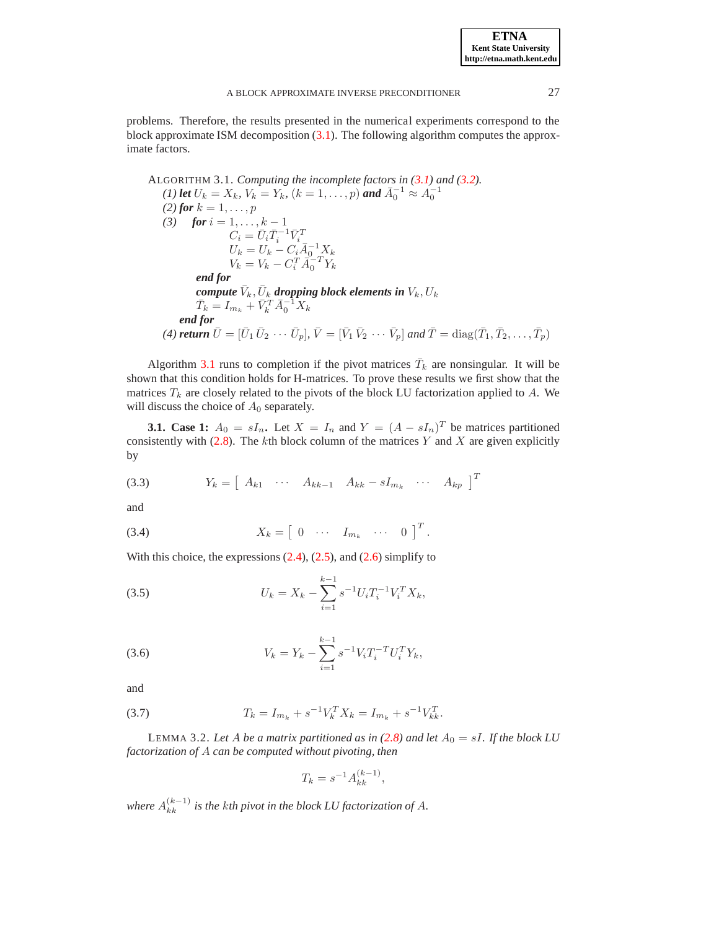<span id="page-4-1"></span>problems. Therefore, the results presented in the numerical experiments correspond to the block approximate ISM decomposition [\(3.1\)](#page-3-4). The following algorithm computes the approximate factors.

ALGORITHM 3.1. *Computing the incomplete factors in [\(3.1\)](#page-3-4) and [\(3.2\)](#page-3-3). (1) let*  $U_k = X_k$ *,*  $V_k = Y_k$ *,*  $(k = 1, ..., p)$  and  $\bar{A}_0^{-1} \approx A_0^{-1}$ *(2) for*  $k = 1, ..., p$ *(3) for*  $i = 1, ..., k - 1$  $C_i = \bar{U}_i \bar{T}_i^{-1} \bar{V}_i^T \ U_k = U_k - C_i \bar{A}_0^{-1} X_k$  $V_k = V_k - C_i^T \vec{A}_0^{-T} Y_k$ *end for*  $\boldsymbol{compute}\ \bar{V}_k, \bar{U}_k$  dropping block elements in  $V_k, U_k$  $\bar{T}_k = I_{m_k} + \bar{V}_k^T \bar{A}_0^{-1} X_k$ *end for (4) return*  $\bar{U} = [\bar{U}_1 \bar{U}_2 \cdots \bar{U}_p], \bar{V} = [\bar{V}_1 \bar{V}_2 \cdots \bar{V}_p]$  and  $\bar{T} = \text{diag}(\bar{T}_1, \bar{T}_2, \ldots, \bar{T}_p)$ 

Algorithm [3.1](#page-4-1) runs to completion if the pivot matrices  $\bar{T}_k$  are nonsingular. It will be shown that this condition holds for H-matrices. To prove these results we first show that the matrices  $T_k$  are closely related to the pivots of the block LU factorization applied to A. We will discuss the choice of  $A_0$  separately.

**3.1. Case 1:**  $A_0 = sI_n$ . Let  $X = I_n$  and  $Y = (A - sI_n)^T$  be matrices partitioned consistently with  $(2.8)$ . The kth block column of the matrices Y and X are given explicitly by

<span id="page-4-2"></span>
$$
(3.3) \t Y_k = \begin{bmatrix} A_{k1} & \cdots & A_{kk-1} & A_{kk} - sI_{m_k} & \cdots & A_{kp} \end{bmatrix}^T
$$

<span id="page-4-3"></span>and

$$
(3.4) \t\t X_k = \begin{bmatrix} 0 & \cdots & I_{m_k} & \cdots & 0 \end{bmatrix}^T.
$$

With this choice, the expressions  $(2.4)$ ,  $(2.5)$ , and  $(2.6)$  simplify to

(3.5) 
$$
U_k = X_k - \sum_{i=1}^{k-1} s^{-1} U_i T_i^{-1} V_i^T X_k,
$$

<span id="page-4-6"></span>(3.6) 
$$
V_k = Y_k - \sum_{i=1}^{k-1} s^{-1} V_i T_i^{-T} U_i^T Y_k,
$$

<span id="page-4-4"></span>and

(3.7) 
$$
T_k = I_{m_k} + s^{-1} V_k^T X_k = I_{m_k} + s^{-1} V_{kk}^T.
$$

<span id="page-4-0"></span>LEMMA 3.2. Let A be a matrix partitioned as in  $(2.8)$  and let  $A_0 = sI$ . If the block LU *factorization of* A *can be computed without pivoting, then*

<span id="page-4-5"></span>
$$
T_k = s^{-1} A_{kk}^{(k-1)},
$$

where  $A_{kk}^{(k-1)}$  is the kth pivot in the block LU factorization of A.

**ETNA Kent State University http://etna.math.kent.edu**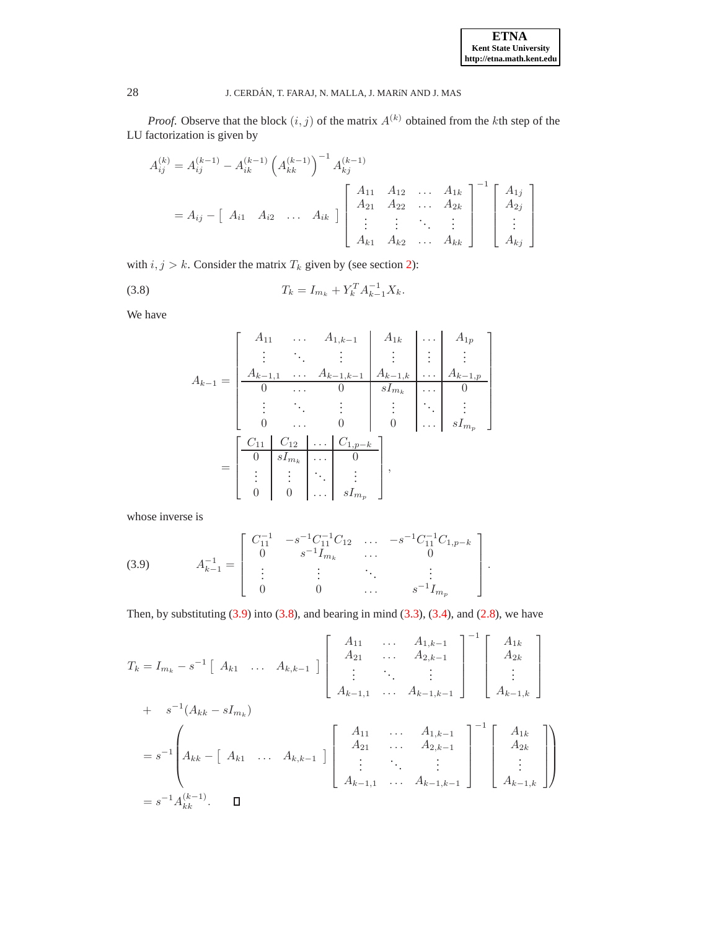*Proof.* Observe that the block  $(i, j)$  of the matrix  $A^{(k)}$  obtained from the kth step of the LU factorization is given by

$$
A_{ij}^{(k)} = A_{ij}^{(k-1)} - A_{ik}^{(k-1)} \left( A_{kk}^{(k-1)} \right)^{-1} A_{kj}^{(k-1)}
$$
  
=  $A_{ij} - \begin{bmatrix} A_{i1} & A_{i2} & \dots & A_{ik} \end{bmatrix} \begin{bmatrix} A_{11} & A_{12} & \dots & A_{1k} \\ A_{21} & A_{22} & \dots & A_{2k} \\ \vdots & \vdots & \ddots & \vdots \\ A_{k1} & A_{k2} & \dots & A_{kk} \end{bmatrix}^{-1} \begin{bmatrix} A_{1j} \\ A_{2j} \\ \vdots \\ A_{kj} \end{bmatrix}$ 

with  $i, j > k$ . Consider the matrix  $T_k$  given by (see section [2\)](#page-2-0):

(3.8) 
$$
T_k = I_{m_k} + Y_k^T A_{k-1}^{-1} X_k.
$$

We have

<span id="page-5-1"></span>
$$
A_{k-1} = \begin{bmatrix} A_{11} & \dots & A_{1,k-1} & A_{1k} & \dots & A_{1p} \\ \vdots & \ddots & \vdots & \vdots & \vdots & \vdots \\ A_{k-1,1} & \dots & A_{k-1,k-1} & A_{k-1,k} & \dots & A_{k-1,p} \\ 0 & \dots & 0 & sI_{m_k} & \dots & 0 \\ \vdots & \ddots & \vdots & \vdots & \ddots & \vdots \\ 0 & \dots & 0 & 0 & \dots & sI_{m_p} \end{bmatrix}
$$

$$
= \begin{bmatrix} C_{11} & C_{12} & \dots & C_{1,p-k} \\ 0 & sI_{m_k} & \dots & 0 \\ \vdots & \vdots & \ddots & \vdots \\ 0 & 0 & \dots & sI_{m_p} \end{bmatrix},
$$

<span id="page-5-0"></span>whose inverse is

(3.9) 
$$
A_{k-1}^{-1} = \begin{bmatrix} C_{11}^{-1} & -s^{-1}C_{11}^{-1}C_{12} & \dots & -s^{-1}C_{11}^{-1}C_{1,p-k} \\ 0 & s^{-1}I_{m_k} & \dots & 0 \\ \vdots & \vdots & \ddots & \vdots \\ 0 & 0 & \dots & s^{-1}I_{m_p} \end{bmatrix}.
$$

Then, by substituting  $(3.9)$  into  $(3.8)$ , and bearing in mind  $(3.3)$ ,  $(3.4)$ , and  $(2.8)$ , we have

$$
T_{k} = I_{m_{k}} - s^{-1} [A_{k1} \dots A_{k,k-1}] \begin{bmatrix} A_{11} & \cdots & A_{1,k-1} \\ A_{21} & \cdots & A_{2,k-1} \\ \vdots & \ddots & \vdots \\ A_{k-1,1} & \cdots & A_{k-1,k-1} \end{bmatrix}^{-1} \begin{bmatrix} A_{1k} \\ A_{2k} \\ \vdots \\ A_{k-1,k} \end{bmatrix}
$$
  
+  $s^{-1} (A_{kk} - sI_{m_{k}})$   
=  $s^{-1} \begin{bmatrix} A_{k1} & \cdots & A_{1,k-1} \\ A_{k2} & \cdots & A_{k-1,k-1} \\ A_{k1} & \cdots & A_{k,k-1} \end{bmatrix} \begin{bmatrix} A_{11} & \cdots & A_{1,k-1} \\ A_{21} & \cdots & A_{2,k-1} \\ \vdots & \ddots & \vdots \\ A_{k-1,1} & \cdots & A_{k-1,k-1} \end{bmatrix}^{-1} \begin{bmatrix} A_{1k} \\ A_{2k} \\ \vdots \\ A_{k-1,k} \end{bmatrix}$   
=  $s^{-1} A_{kk}^{(k-1)}$ .  $\square$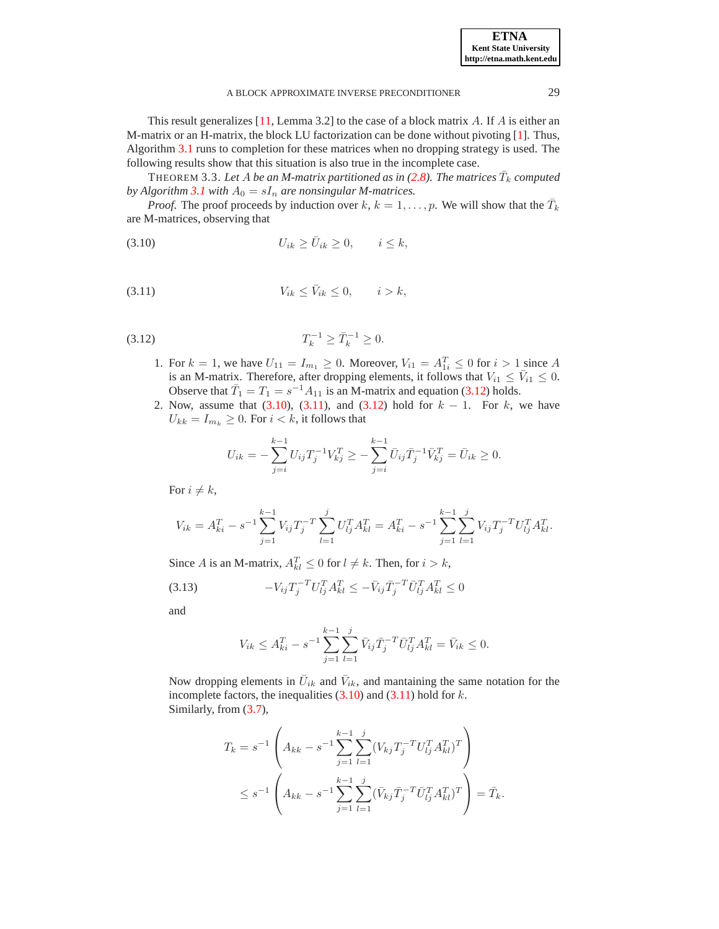**ETNA Kent State University http://etna.math.kent.edu**

This result generalizes  $[11, \text{Lemma } 3.2]$  $[11, \text{Lemma } 3.2]$  to the case of a block matrix A. If A is either an M-matrix or an H-matrix, the block LU factorization can be done without pivoting [\[1\]](#page-16-2). Thus,

Algorithm [3.1](#page-4-1) runs to completion for these matrices when no dropping strategy is used. The following results show that this situation is also true in the incomplete case.

<span id="page-6-4"></span>THEOREM 3.3. Let A be an M-matrix partitioned as in [\(2.8\)](#page-3-5). The matrices  $\bar{T}_k$  computed *by Algorithm* [3.1](#page-4-1) *with*  $A_0 = sI_n$  *are nonsingular M-matrices.* 

<span id="page-6-1"></span>*Proof.* The proof proceeds by induction over  $k, k = 1, \ldots, p$ . We will show that the  $\overline{T}_k$ are M-matrices, observing that

<span id="page-6-2"></span>
$$
(3.10) \t\t\t U_{ik} \ge \bar{U}_{ik} \ge 0, \t i \le k,
$$

<span id="page-6-0"></span>
$$
(3.11) \t\t V_{ik} \le \bar{V}_{ik} \le 0, \t i > k,
$$

$$
(3.12) \t\t T_k^{-1} \ge \bar{T}_k^{-1} \ge 0.
$$

- 1. For  $k = 1$ , we have  $U_{11} = I_{m_1} \ge 0$ . Moreover,  $V_{i1} = A_{1i}^T \le 0$  for  $i > 1$  since A is an M-matrix. Therefore, after dropping elements, it follows that  $V_{i1} \leq \bar{V}_{i1} \leq 0$ . Observe that  $\overline{T}_1 = T_1 = s^{-1} A_{11}$  is an M-matrix and equation [\(3.12\)](#page-6-0) holds.
- 2. Now, assume that  $(3.10)$ ,  $(3.11)$ , and  $(3.12)$  hold for  $k 1$ . For k, we have  $U_{kk} = I_{m_k} \geq 0$ . For  $i < k$ , it follows that

$$
U_{ik} = -\sum_{j=i}^{k-1} U_{ij} T_j^{-1} V_{kj}^T \ge -\sum_{j=i}^{k-1} \bar{U}_{ij} \bar{T}_j^{-1} \bar{V}_{kj}^T = \bar{U}_{ik} \ge 0.
$$

For  $i \neq k$ ,

$$
V_{ik} = A_{ki}^T - s^{-1} \sum_{j=1}^{k-1} V_{ij} T_j^{-T} \sum_{l=1}^j U_{lj}^T A_{kl}^T = A_{ki}^T - s^{-1} \sum_{j=1}^{k-1} \sum_{l=1}^j V_{ij} T_j^{-T} U_{lj}^T A_{kl}^T.
$$

Since A is an M-matrix,  $A_{kl}^T \leq 0$  for  $l \neq k$ . Then, for  $i > k$ ,

$$
(3.13) \t\t -V_{ij}T_j^{-T}U_{lj}^T A_{kl}^T \le -\bar{V}_{ij}\bar{T}_j^{-T}\bar{U}_{lj}^T A_{kl}^T \le 0
$$

and

<span id="page-6-3"></span>
$$
V_{ik} \le A_{ki}^T - s^{-1} \sum_{j=1}^{k-1} \sum_{l=1}^j \bar{V}_{ij} \bar{T}_j^{-T} \bar{U}_{lj}^T A_{kl}^T = \bar{V}_{ik} \le 0.
$$

Now dropping elements in  $\bar{U}_{ik}$  and  $\bar{V}_{ik}$ , and mantaining the same notation for the incomplete factors, the inequalities  $(3.10)$  and  $(3.11)$  hold for k. Similarly, from [\(3.7\)](#page-4-4),

$$
T_k = s^{-1} \left( A_{kk} - s^{-1} \sum_{j=1}^{k-1} \sum_{l=1}^j (V_{kj} T_j^{-T} U_{lj}^T A_{kl}^T)^T \right)
$$
  

$$
\leq s^{-1} \left( A_{kk} - s^{-1} \sum_{j=1}^{k-1} \sum_{l=1}^j (\bar{V}_{kj} \bar{T}_j^{-T} \bar{U}_{lj}^T A_{kl}^T)^T \right) = \bar{T}_k.
$$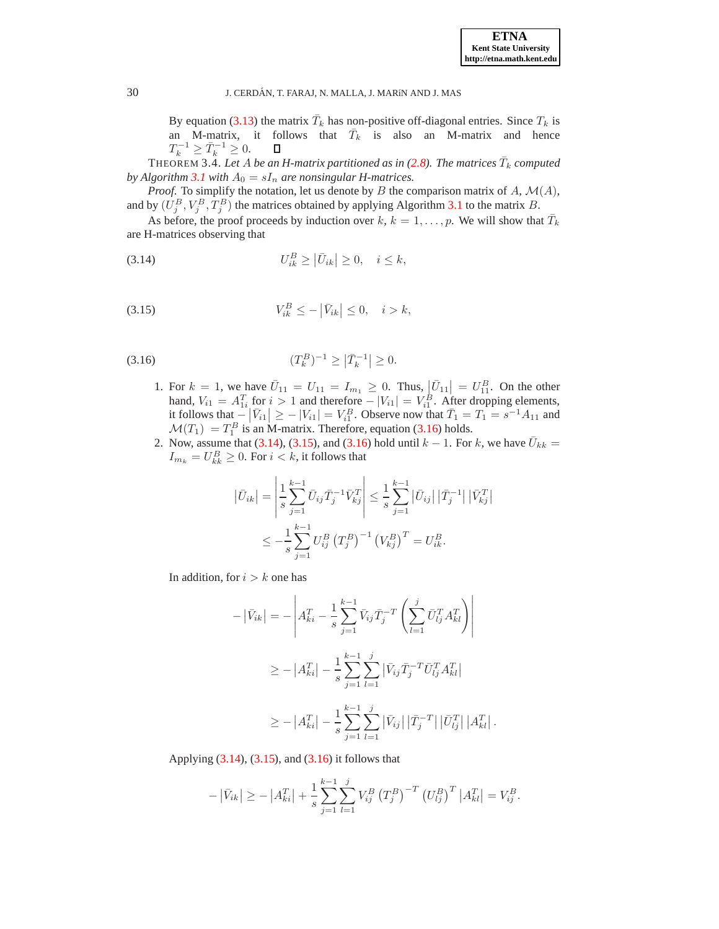By equation [\(3.13\)](#page-6-3) the matrix  $\bar{T}_k$  has non-positive off-diagonal entries. Since  $T_k$  is an M-matrix, it follows that  $\overline{T}_k$  is also an M-matrix and hence  $T_k^{-1} \geq \bar{T}_k^{-1} \geq 0.$  $\Box$ 

 $\overline{\text{THEOREM 3.4.}}$  Let  $A$  be an H-matrix partitioned as in [\(2.8\)](#page-3-5). The matrices  $\bar{T}_k$  computed *by Algorithm* [3.1](#page-4-1) *with*  $A_0 = sI_n$  *are nonsingular H-matrices.* 

*Proof.* To simplify the notation, let us denote by B the comparison matrix of A,  $\mathcal{M}(A)$ , and by  $(U_j^B, V_j^B, T_j^B)$  the matrices obtained by applying Algorithm [3.1](#page-4-1) to the matrix B.

<span id="page-7-1"></span>As before, the proof proceeds by induction over  $k, k = 1, \ldots, p$ . We will show that  $\bar{T}_k$ are H-matrices observing that

<span id="page-7-2"></span>
$$
(3.14) \t\t\t U_{ik}^B \ge |\bar{U}_{ik}| \ge 0, \quad i \le k,
$$

$$
(3.15) \t V_{ik}^B \le -\left|\bar{V}_{ik}\right| \le 0, \quad i > k,
$$

<span id="page-7-0"></span>(3.16) 
$$
(T_k^B)^{-1} \ge | \bar{T}_k^{-1} | \ge 0.
$$

- 1. For  $k = 1$ , we have  $\bar{U}_{11} = U_{11} = I_{m_1} \geq 0$ . Thus,  $|\bar{U}_{11}| = U_{11}^B$ . On the other hand,  $V_{i1} = A_{1i}^T$  for  $i > 1$  and therefore  $-|V_{i1}| = V_{i1}^B$ . After dropping elements, it follows that  $-\left|\bar{V}_{i1}\right| \ge -\left|V_{i1}\right| = V_{i1}^B$ . Observe now that  $\bar{T}_1 = T_1 = s^{-1}A_{11}$  and  $\mathcal{M}(T_1) = T_1^B$  is an M-matrix. Therefore, equation [\(3.16\)](#page-7-0) holds.
- 2. Now, assume that [\(3.14\)](#page-7-1), [\(3.15\)](#page-7-2), and [\(3.16\)](#page-7-0) hold until  $k 1$ . For k, we have  $\bar{U}_{kk} =$  $I_{m_k} = U_{kk}^B \geq 0$ . For  $i < k$ , it follows that

$$
\left| \bar{U}_{ik} \right| = \left| \frac{1}{s} \sum_{j=1}^{k-1} \bar{U}_{ij} \bar{T}_j^{-1} \bar{V}_{kj}^T \right| \le \frac{1}{s} \sum_{j=1}^{k-1} \left| \bar{U}_{ij} \right| \left| \bar{T}_j^{-1} \right| \left| \bar{V}_{kj}^T \right|
$$
  

$$
\le -\frac{1}{s} \sum_{j=1}^{k-1} U_{ij}^B \left( T_j^B \right)^{-1} \left( V_{kj}^B \right)^T = U_{ik}^B.
$$

In addition, for  $i > k$  one has

$$
-|\bar{V}_{ik}| = -\left| A_{ki}^T - \frac{1}{s} \sum_{j=1}^{k-1} \bar{V}_{ij} \bar{T}_j^{-T} \left( \sum_{l=1}^j \bar{U}_{lj}^T A_{kl}^T \right) \right|
$$
  

$$
\ge -|A_{ki}^T| - \frac{1}{s} \sum_{j=1}^{k-1} \sum_{l=1}^j |\bar{V}_{ij} \bar{T}_j^{-T} \bar{U}_{lj}^T A_{kl}^T|
$$
  

$$
\ge -|A_{ki}^T| - \frac{1}{s} \sum_{j=1}^{k-1} \sum_{l=1}^j |\bar{V}_{ij}| |\bar{T}_j^{-T}| |\bar{U}_{lj}^T| |A_{kl}^T|
$$

.

Applying [\(3.14\)](#page-7-1), [\(3.15\)](#page-7-2), and [\(3.16\)](#page-7-0) it follows that

$$
-|\bar{V}_{ik}| \geq -|A_{ki}^T| + \frac{1}{s} \sum_{j=1}^{k-1} \sum_{l=1}^j V_{ij}^B (T_j^B)^{-T} (U_{lj}^B)^T |A_{kl}^T| = V_{ij}^B.
$$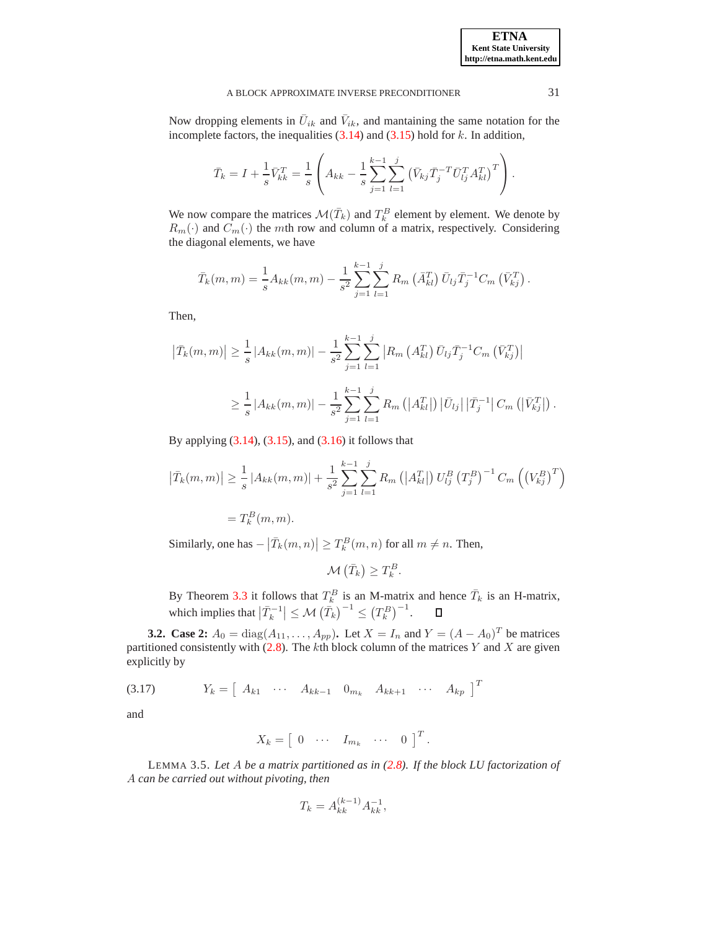Now dropping elements in  $\bar{U}_{ik}$  and  $\bar{V}_{ik}$ , and mantaining the same notation for the incomplete factors, the inequalities  $(3.14)$  and  $(3.15)$  hold for k. In addition,

$$
\bar{T}_k = I + \frac{1}{s} \bar{V}_{kk}^T = \frac{1}{s} \left( A_{kk} - \frac{1}{s} \sum_{j=1}^{k-1} \sum_{l=1}^j \left( \bar{V}_{kj} \bar{T}_j^{-T} \bar{U}_{lj}^T A_{kl}^T \right)^T \right).
$$

We now compare the matrices  $\mathcal{M}(\bar{T}_k)$  and  $T_k^B$  element by element. We denote by  $R_m(\cdot)$  and  $C_m(\cdot)$  the mth row and column of a matrix, respectively. Considering the diagonal elements, we have

$$
\bar{T}_k(m,m) = \frac{1}{s} A_{kk}(m,m) - \frac{1}{s^2} \sum_{j=1}^{k-1} \sum_{l=1}^j R_m \left( \bar{A}_{kl}^T \right) \bar{U}_{lj} \bar{T}_j^{-1} C_m \left( \bar{V}_{kj}^T \right).
$$

Then,

$$
\left| \bar{T}_{k}(m, m) \right| \geq \frac{1}{s} \left| A_{kk}(m, m) \right| - \frac{1}{s^{2}} \sum_{j=1}^{k-1} \sum_{l=1}^{j} \left| R_{m} \left( A_{kl}^{T} \right) \bar{U}_{lj} \bar{T}_{j}^{-1} C_{m} \left( \bar{V}_{kj}^{T} \right) \right|
$$
  

$$
\geq \frac{1}{s} \left| A_{kk}(m, m) \right| - \frac{1}{s^{2}} \sum_{j=1}^{k-1} \sum_{l=1}^{j} R_{m} \left( \left| A_{kl}^{T} \right| \right) \left| \bar{U}_{lj} \right| \left| \bar{T}_{j}^{-1} \right| C_{m} \left( \left| \bar{V}_{kj}^{T} \right| \right)
$$

By applying  $(3.14)$ ,  $(3.15)$ , and  $(3.16)$  it follows that

$$
\left| \bar{T}_{k}(m, m) \right| \geq \frac{1}{s} \left| A_{kk}(m, m) \right| + \frac{1}{s^{2}} \sum_{j=1}^{k-1} \sum_{l=1}^{j} R_{m} \left( \left| A_{kl}^{T} \right| \right) U_{lj}^{B} \left( T_{j}^{B} \right)^{-1} C_{m} \left( \left( V_{kj}^{B} \right)^{T} \right)
$$

$$
= T_{k}^{B}(m, m).
$$

Similarly, one has  $-\left|\overline{T}_k(m,n)\right| \geq T_k^B(m,n)$  for all  $m \neq n$ . Then,

$$
\mathcal{M}\left(\bar{T}_k\right) \geq T_k^B.
$$

By Theorem [3.3](#page-6-4) it follows that  $T_k^B$  is an M-matrix and hence  $\bar{T}_k$  is an H-matrix, which implies that  $|\overline{T}_{k}^{-1}| \leq \mathcal{M}(\overline{T}_{k})^{-1} \leq (T_{k}^{B})^{-1}$ .

**3.2.** Case 2:  $A_0 = \text{diag}(A_{11},..., A_{pp})$ . Let  $X = I_n$  and  $Y = (A - A_0)^T$  be matrices partitioned consistently with  $(2.8)$ . The kth block column of the matrices Y and X are given explicitly by

<span id="page-8-1"></span>
$$
(3.17) \t Yk = \begin{bmatrix} A_{k1} & \cdots & A_{kk-1} & 0_{m_k} & A_{kk+1} & \cdots & A_{kp} \end{bmatrix}^T
$$

and

$$
X_k = \begin{bmatrix} 0 & \cdots & I_{m_k} & \cdots & 0 \end{bmatrix}^T.
$$

<span id="page-8-0"></span>LEMMA 3.5. *Let* A *be a matrix partitioned as in [\(2.8\)](#page-3-5). If the block LU factorization of* A *can be carried out without pivoting, then*

$$
T_k = A_{kk}^{(k-1)} A_{kk}^{-1},
$$

.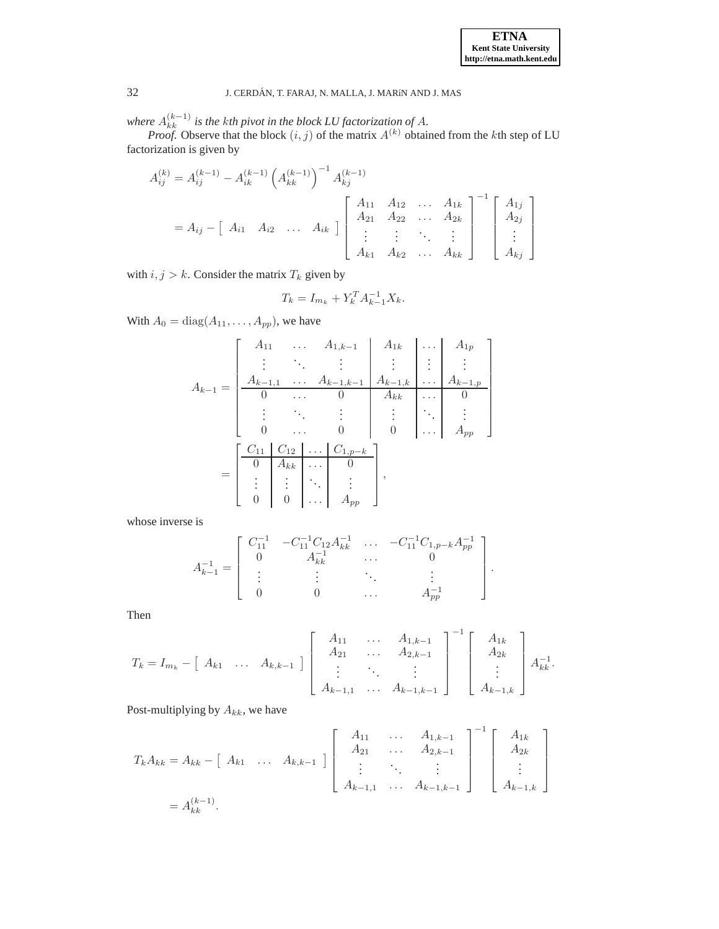where  $A_{kk}^{(k-1)}$  is the kth pivot in the block LU factorization of A.

*Proof.* Observe that the block  $(i, j)$  of the matrix  $A^{(k)}$  obtained from the kth step of LU factorization is given by

$$
A_{ij}^{(k)} = A_{ij}^{(k-1)} - A_{ik}^{(k-1)} \left( A_{kk}^{(k-1)} \right)^{-1} A_{kj}^{(k-1)}
$$
  
=  $A_{ij} - \begin{bmatrix} A_{i1} & A_{i2} & \dots & A_{1k} \end{bmatrix} \begin{bmatrix} A_{11} & A_{12} & \dots & A_{1k} \\ A_{21} & A_{22} & \dots & A_{2k} \\ \vdots & \vdots & \ddots & \vdots \\ A_{k1} & A_{k2} & \dots & A_{kk} \end{bmatrix}^{-1} \begin{bmatrix} A_{1j} \\ A_{2j} \\ \vdots \\ A_{kj} \end{bmatrix}$ 

with  $i, j > k$ . Consider the matrix  $T_k$  given by

$$
T_k = I_{m_k} + Y_k^T A_{k-1}^{-1} X_k.
$$

With  $A_0 = \text{diag}(A_{11}, \ldots, A_{pp})$ , we have

$$
A_{k-1} = \begin{bmatrix} A_{11} & \dots & A_{1,k-1} & A_{1k} & \dots & A_{1p} \\ \vdots & \ddots & \vdots & \vdots & \vdots & \vdots \\ A_{k-1,1} & \dots & A_{k-1,k-1} & A_{k-1,k} & \dots & A_{k-1,p} \\ 0 & \dots & 0 & A_{kk} & \dots & 0 \\ \vdots & \ddots & \vdots & \vdots & \ddots & \vdots \\ 0 & \dots & 0 & 0 & \dots & A_{pp} \end{bmatrix}
$$

$$
= \begin{bmatrix} C_{11} & C_{12} & \dots & C_{1,p-k} \\ 0 & A_{kk} & \dots & 0 \\ \vdots & \vdots & \ddots & \vdots \\ 0 & 0 & \dots & A_{pp} \end{bmatrix},
$$

whose inverse is

$$
A_{k-1}^{-1} = \left[ \begin{array}{cccc} C_{11}^{-1} & -C_{11}^{-1}C_{12}A_{kk}^{-1} & \dots & -C_{11}^{-1}C_{1,p-k}A_{pp}^{-1} \\ 0 & A_{kk}^{-1} & \dots & 0 \\ \vdots & \vdots & \ddots & \vdots \\ 0 & 0 & \dots & A_{pp}^{-1} \end{array} \right].
$$

Then

$$
T_{k} = I_{m_{k}} - \begin{bmatrix} A_{k1} & \dots & A_{k,k-1} \end{bmatrix} \begin{bmatrix} A_{11} & \dots & A_{1,k-1} \\ A_{21} & \dots & A_{2,k-1} \\ \vdots & \ddots & \vdots \\ A_{k-1,1} & \dots & A_{k-1,k-1} \end{bmatrix}^{-1} \begin{bmatrix} A_{1k} \\ A_{2k} \\ \vdots \\ A_{k-1,k} \end{bmatrix} A_{kk}^{-1}.
$$

Post-multiplying by  $A_{kk}$ , we have

$$
T_{k}A_{kk} = A_{kk} - [A_{k1} \dots A_{k,k-1}] \begin{bmatrix} A_{11} & \dots & A_{1,k-1} \\ A_{21} & \dots & A_{2,k-1} \\ \vdots & \ddots & \vdots \\ A_{k-1,1} & \dots & A_{k-1,k-1} \end{bmatrix}^{-1} \begin{bmatrix} A_{1k} \\ A_{2k} \\ \vdots \\ A_{k-1,k} \end{bmatrix}
$$
  
=  $A_{kk}^{(k-1)}$ .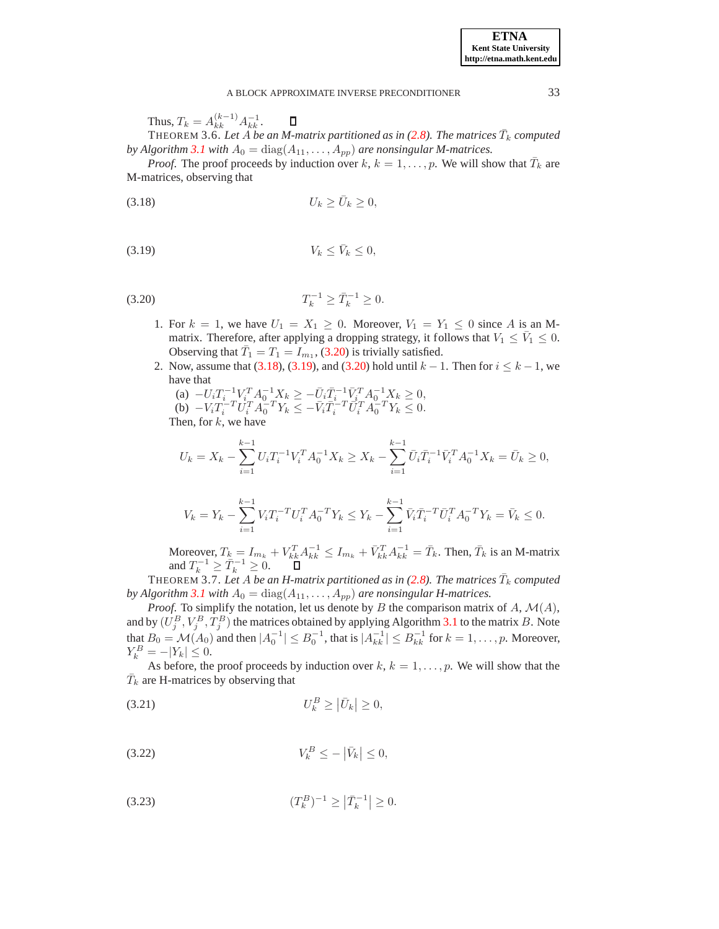Thus,  $T_k = A_{kk}^{(k-1)} A_{kk}^{-1}$ .

<span id="page-10-6"></span>THEOREM 3.6. Let  $\overline{A}$  *be an M-matrix partitioned as in* [\(2.8\)](#page-3-5). The matrices  $\overline{T}_k$  computed *by Algorithm* [3.1](#page-4-1) *with*  $A_0 = \text{diag}(A_{11}, \ldots, A_{pp})$  *are nonsingular M-matrices.* 

<span id="page-10-1"></span>*Proof.* The proof proceeds by induction over  $k, k = 1, \ldots, p$ . We will show that  $\overline{T}_k$  are M-matrices, observing that

<span id="page-10-2"></span>
$$
(3.18) \t\t\t U_k \ge \bar{U}_k \ge 0,
$$

$$
(3.19) \t\t V_k \leq \bar{V}_k \leq 0,
$$

<span id="page-10-0"></span>
$$
(3.20) \t\t T_k^{-1} \ge \bar{T}_k^{-1} \ge 0.
$$

- 1. For  $k = 1$ , we have  $U_1 = X_1 \geq 0$ . Moreover,  $V_1 = Y_1 \leq 0$  since A is an Mmatrix. Therefore, after applying a dropping strategy, it follows that  $V_1 \le \bar{V}_1 \le 0$ . Observing that  $\overline{T}_1 = T_1 = I_{m_1}$ , [\(3.20\)](#page-10-0) is trivially satisfied.
- 2. Now, assume that [\(3.18\)](#page-10-1), [\(3.19\)](#page-10-2), and [\(3.20\)](#page-10-0) hold until  $k 1$ . Then for  $i \leq k 1$ , we have that

(a) 
$$
-U_i T_i^{-1} V_i^T A_0^{-1} X_k \ge -\bar{U}_i \bar{T}_i^{-1} \bar{V}_i^T A_0^{-1} X_k \ge 0
$$
,  
\n(b)  $-V_i T_i^{-T} U_i^T A_0^{-T} Y_k \le -\bar{V}_i \bar{T}_i^{-T} \bar{U}_i^T A_0^{-T} Y_k \le 0$ .  
\nThen, for *k*, we have

$$
U_k = X_k - \sum_{i=1}^{k-1} U_i T_i^{-1} V_i^T A_0^{-1} X_k \ge X_k - \sum_{i=1}^{k-1} \bar{U}_i \bar{T}_i^{-1} \bar{V}_i^T A_0^{-1} X_k = \bar{U}_k \ge 0,
$$

$$
V_k = Y_k - \sum_{i=1}^{k-1} V_i T_i^{-T} U_i^{T} A_0^{-T} Y_k \le Y_k - \sum_{i=1}^{k-1} \bar{V}_i \bar{T}_i^{-T} \bar{U}_i^{T} A_0^{-T} Y_k = \bar{V}_k \le 0.
$$

Moreover,  $T_k = I_{m_k} + V_{kk}^T A_{kk}^{-1} \le I_{m_k} + \bar{V}_{kk}^T A_{kk}^{-1} = \bar{T}_k$ . Then,  $\bar{T}_k$  is an M-matrix and  $T_k^{-1} \geq \overline{T}_k^{-1} \geq 0$ .

 $\rm{THEOREM}$   $\rm{3.7.}$  Let  $\rm{A}$  be an H-matrix partitioned as in [\(2.8\)](#page-3-5). The matrices  $\bar{T}_k$  computed *by Algorithm* [3.1](#page-4-1) with  $A_0 = \text{diag}(A_{11}, \ldots, A_{pp})$  are nonsingular H-matrices.

*Proof.* To simplify the notation, let us denote by B the comparison matrix of  $A$ ,  $M(A)$ , and by  $(U_j^B, V_j^B, T_j^B)$  the matrices obtained by applying Algorithm [3.1](#page-4-1) to the matrix B. Note that  $B_0 = \mathcal{M}(A_0)$  and then  $|A_0^{-1}| \leq B_0^{-1}$ , that is  $|A_{kk}^{-1}| \leq B_{kk}^{-1}$  for  $k = 1, \ldots, p$ . Moreover,  $Y_k^B = -|Y_k| \leq 0.$ 

<span id="page-10-4"></span>As before, the proof proceeds by induction over  $k, k = 1, \ldots, p$ . We will show that the  $\bar{T}_k$  are H-matrices by observing that

$$
(3.21) \t\t\t U_k^B \ge |\bar{U}_k| \ge 0,
$$

<span id="page-10-5"></span>
$$
(3.22) \t\t V_k^B \le -\left|\bar{V}_k\right| \le 0,
$$

<span id="page-10-3"></span>
$$
(3.23) \t\t (T_k^B)^{-1} \ge | \bar{T}_k^{-1} | \ge 0.
$$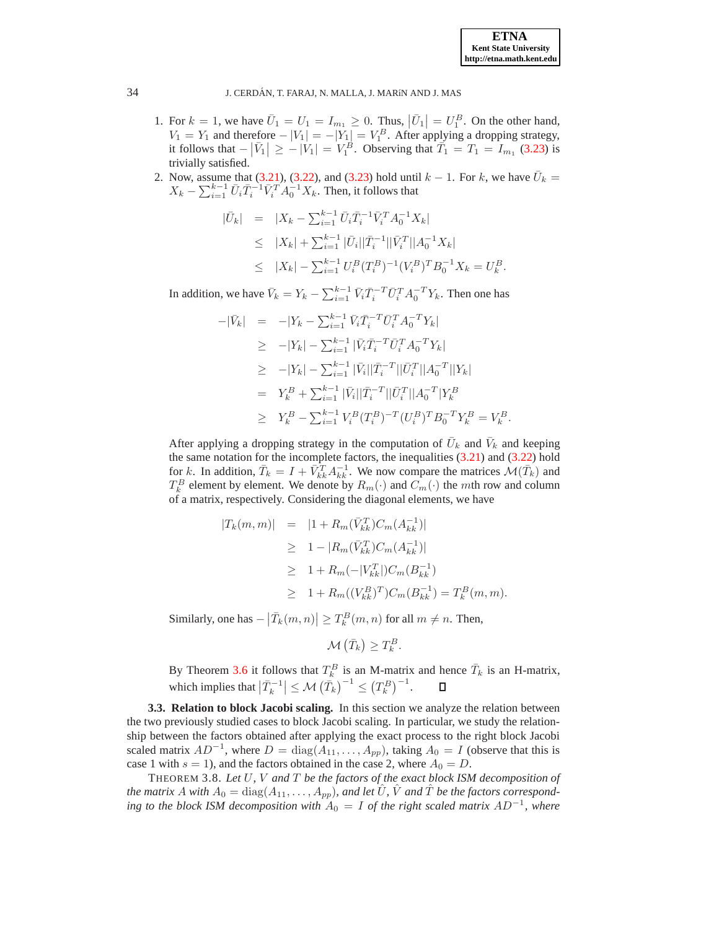- 1. For  $k = 1$ , we have  $\overline{U}_1 = U_1 = I_{m_1} \geq 0$ . Thus,  $|\overline{U}_1| = U_1^B$ . On the other hand,  $V_1 = Y_1$  and therefore  $-|V_1| = -|Y_1| = V_1^B$ . After applying a dropping strategy, it follows that  $-|\bar{V}_1| \ge -|V_1| = V_1^B$ . Observing that  $\bar{T}_1 = T_1 = I_{m_1}$  [\(3.23\)](#page-10-3) is trivially satisfied.
- 2. Now, assume that [\(3.21\)](#page-10-4), [\(3.22\)](#page-10-5), and [\(3.23\)](#page-10-3) hold until  $k 1$ . For k, we have  $\bar{U}_k =$  $X_k - \sum_{i=1}^{k-1} \bar{U}_i \bar{T}_i^{-1} \bar{V}_i^T A_0^{-1} X_k$ . Then, it follows that

$$
\begin{array}{rcl}\n|\bar{U}_k| & = & |X_k - \sum_{i=1}^{k-1} \bar{U}_i \bar{T}_i^{-1} \bar{V}_i^T A_0^{-1} X_k| \\
& \leq & |X_k| + \sum_{i=1}^{k-1} |\bar{U}_i| |\bar{T}_i^{-1}| |\bar{V}_i^T| |A_0^{-1} X_k| \\
& \leq & |X_k| - \sum_{i=1}^{k-1} U_i^B (T_i^B)^{-1} (V_i^B)^T B_0^{-1} X_k = U_k^B.\n\end{array}
$$

In addition, we have  $\bar{V}_k = Y_k - \sum_{i=1}^{k-1} \bar{V}_i \bar{T}_i^{-T} \bar{U}_i^{T} A_0^{-T} Y_k$ . Then one has

$$
-|\bar{V}_k| = -|Y_k - \sum_{i=1}^{k-1} \bar{V}_i \bar{T}_i^{-T} \bar{U}_i^T A_0^{-T} Y_k|
$$
  
\n
$$
\geq -|Y_k| - \sum_{i=1}^{k-1} |\bar{V}_i \bar{T}_i^{-T} \bar{U}_i^T A_0^{-T} Y_k|
$$
  
\n
$$
\geq -|Y_k| - \sum_{i=1}^{k-1} |\bar{V}_i| |\bar{T}_i^{-T}| |\bar{U}_i^T| |A_0^{-T}| |Y_k|
$$
  
\n
$$
= Y_k^B + \sum_{i=1}^{k-1} |\bar{V}_i| |\bar{T}_i^{-T}| |\bar{U}_i^T| |A_0^{-T}| Y_k^B
$$
  
\n
$$
\geq Y_k^B - \sum_{i=1}^{k-1} V_i^B (T_i^B)^{-T} (U_i^B)^T B_0^{-T} Y_k^B = V_k^B.
$$

After applying a dropping strategy in the computation of  $\bar{U}_k$  and  $\bar{V}_k$  and keeping the same notation for the incomplete factors, the inequalities [\(3.21\)](#page-10-4) and [\(3.22\)](#page-10-5) hold for k. In addition,  $\bar{T}_k = I + \bar{V}_{kk}^T A_{kk}^{-1}$ . We now compare the matrices  $\mathcal{M}(\bar{T}_k)$  and  $T_k^B$  element by element. We denote by  $R_m(\cdot)$  and  $C_m(\cdot)$  the mth row and column of a matrix, respectively. Considering the diagonal elements, we have

$$
|T_k(m, m)| = |1 + R_m(\bar{V}_{kk}^T)C_m(A_{kk}^{-1})|
$$
  
\n
$$
\geq 1 - |R_m(\bar{V}_{kk}^T)C_m(A_{kk}^{-1})|
$$
  
\n
$$
\geq 1 + R_m(-|V_{kk}^T|)C_m(B_{kk}^{-1})
$$
  
\n
$$
\geq 1 + R_m((V_{kk}^B)^T)C_m(B_{kk}^{-1}) = T_k^B(m, m).
$$

Similarly, one has  $-\left|\overline{T}_{k}(m,n)\right| \geq T_{k}^{B}(m,n)$  for all  $m \neq n$ . Then,

$$
\mathcal{M}\left(\bar{T}_k\right) \geq T_k^B.
$$

By Theorem [3.6](#page-10-6) it follows that  $T_k^B$  is an M-matrix and hence  $\bar{T}_k$  is an H-matrix, which implies that  $\left|\overline{T}_{k}^{-1}\right| \leq \mathcal{M}\left(\overline{T}_{k} \right)^{-1} \leq \left(T_{k}^{B}\right)^{-1}$ .

**3.3. Relation to block Jacobi scaling.** In this section we analyze the relation between the two previously studied cases to block Jacobi scaling. In particular, we study the relationship between the factors obtained after applying the exact process to the right block Jacobi scaled matrix  $AD^{-1}$ , where  $D = diag(A_{11},..., A_{pp})$ , taking  $A_0 = I$  (observe that this is case 1 with  $s = 1$ ), and the factors obtained in the case 2, where  $A_0 = D$ .

<span id="page-11-0"></span>THEOREM 3.8. *Let* U*,* V *and* T *be the factors of the exact block ISM decomposition of the matrix* A *with*  $A_0 = \text{diag}(A_{11}, \ldots, A_{pp})$ , and let  $\hat{U}$ ,  $\hat{V}$  and  $\hat{T}$  be the factors correspond*ing to the block ISM decomposition with*  $A_0 = I$  *of the right scaled matrix*  $AD^{-1}$ *, where*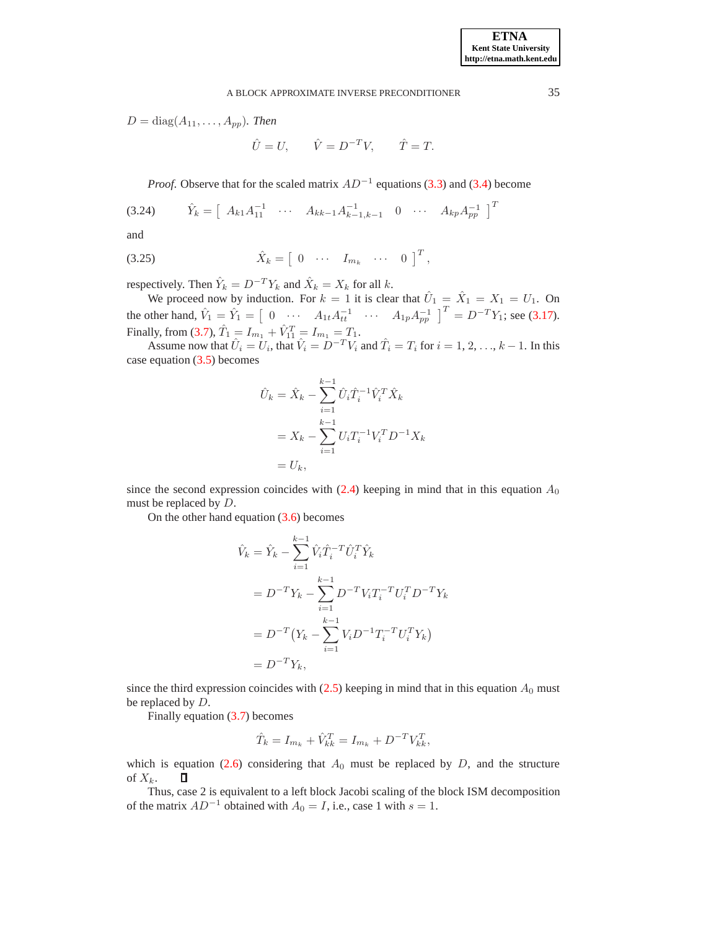$D = diag(A_{11}, \ldots, A_{pp})$ *. Then* 

 $\hat{U} = U, \qquad \hat{V} = D^{-T}V, \qquad \hat{T} = T.$ 

*Proof.* Observe that for the scaled matrix  $AD^{-1}$  equations [\(3.3\)](#page-4-2) and [\(3.4\)](#page-4-3) become

$$
(3.24) \t\t \hat{Y}_k = \begin{bmatrix} A_{k1}A_{11}^{-1} & \cdots & A_{kk-1}A_{k-1,k-1}^{-1} & 0 & \cdots & A_{kp}A_{pp}^{-1} \end{bmatrix}^T
$$

and

$$
(3.25) \t\t \hat{X}_k = \begin{bmatrix} 0 & \cdots & I_{m_k} & \cdots & 0 \end{bmatrix}^T,
$$

respectively. Then  $\hat{Y}_k = D^{-T} Y_k$  and  $\hat{X}_k = X_k$  for all  $k$ .

We proceed now by induction. For  $k = 1$  it is clear that  $\hat{U}_1 = \hat{X}_1 = X_1 = U_1$ . On the other hand,  $\hat{V}_1 = \hat{Y}_1 = \begin{bmatrix} 0 & \cdots & A_{1t}A_{tt}^{-1} & \cdots & A_{1p}A_{pp}^{-1} \end{bmatrix}^T = D^{-T}Y_1$ ; see [\(3.17\)](#page-8-1). Finally, from [\(3.7\)](#page-4-4),  $\hat{T}_1 = I_{m_1} + \hat{V}_{11}^T = I_{m_1} = T_1$ .

Assume now that  $\hat{U}_i = U_i$ , that  $\hat{V}_i = D^{-T}V_i$  and  $\hat{T}_i = T_i$  for  $i = 1, 2, ..., k - 1$ . In this case equation  $(3.5)$  becomes

$$
\hat{U}_k = \hat{X}_k - \sum_{i=1}^{k-1} \hat{U}_i \hat{T}_i^{-1} \hat{V}_i^T \hat{X}_k
$$
  
=  $X_k - \sum_{i=1}^{k-1} U_i T_i^{-1} V_i^T D^{-1} X_k$   
=  $U_k$ ,

since the second expression coincides with  $(2.4)$  keeping in mind that in this equation  $A_0$ must be replaced by D.

On the other hand equation [\(3.6\)](#page-4-6) becomes

$$
\hat{V}_k = \hat{Y}_k - \sum_{i=1}^{k-1} \hat{V}_i \hat{T}_i^{-T} \hat{U}_i^{T} \hat{Y}_k
$$
  
=  $D^{-T} Y_k - \sum_{i=1}^{k-1} D^{-T} V_i T_i^{-T} U_i^{T} D^{-T} Y_k$   
=  $D^{-T} (Y_k - \sum_{i=1}^{k-1} V_i D^{-1} T_i^{-T} U_i^{T} Y_k)$   
=  $D^{-T} Y_k$ ,

since the third expression coincides with  $(2.5)$  keeping in mind that in this equation  $A_0$  must be replaced by D.

Finally equation [\(3.7\)](#page-4-4) becomes

$$
\hat{T}_k = I_{m_k} + \hat{V}_{kk}^T = I_{m_k} + D^{-T}V_{kk}^T,
$$

which is equation [\(2.6\)](#page-3-6) considering that  $A_0$  must be replaced by D, and the structure of  $X_k$ . D

Thus, case 2 is equivalent to a left block Jacobi scaling of the block ISM decomposition of the matrix  $AD^{-1}$  obtained with  $A_0 = I$ , i.e., case 1 with  $s = 1$ .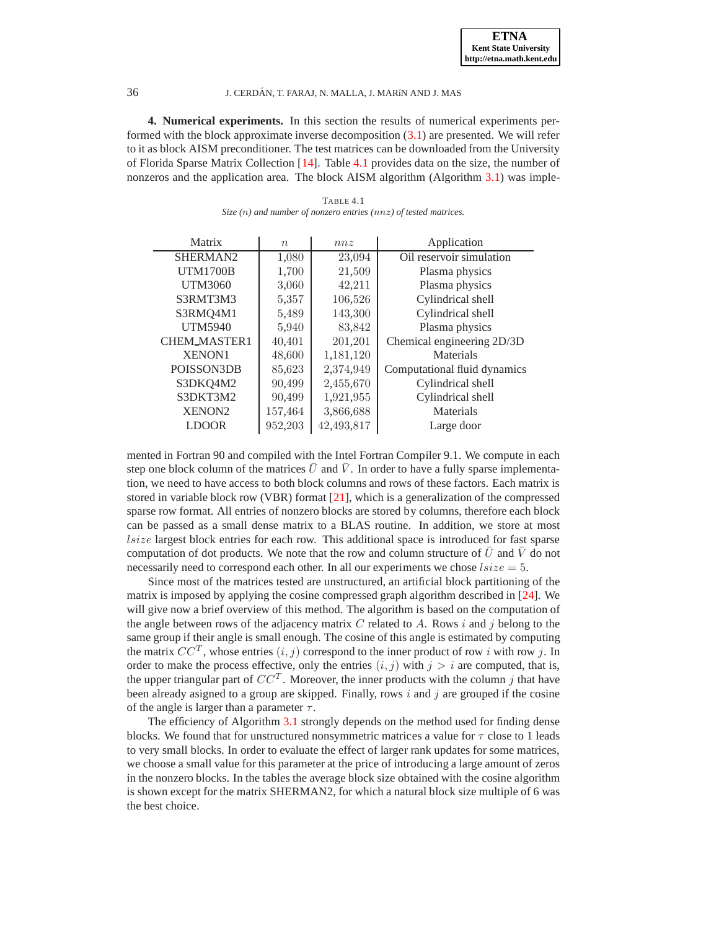<span id="page-13-0"></span>**4. Numerical experiments.** In this section the results of numerical experiments performed with the block approximate inverse decomposition  $(3.1)$  are presented. We will refer to it as block AISM preconditioner. The test matrices can be downloaded from the University of Florida Sparse Matrix Collection [\[14\]](#page-17-18). Table [4.1](#page-13-1) provides data on the size, the number of nonzeros and the application area. The block AISM algorithm (Algorithm [3.1\)](#page-4-1) was imple-

<span id="page-13-1"></span>

| Matrix              | $\boldsymbol{n}$ | nnz        | Application                  |  |
|---------------------|------------------|------------|------------------------------|--|
| SHERMAN2            | 1,080            | 23,094     | Oil reservoir simulation     |  |
| <b>UTM1700B</b>     | 1,700            | 21,509     | Plasma physics               |  |
| UTM3060             | 3,060            | 42,211     | Plasma physics               |  |
| S3RMT3M3            | 5,357            | 106,526    | Cylindrical shell            |  |
| S3RMQ4M1            | 5,489            | 143,300    | Cylindrical shell            |  |
| <b>UTM5940</b>      | 5,940            | 83,842     | Plasma physics               |  |
| <b>CHEM_MASTER1</b> | 40,401           | 201,201    | Chemical engineering 2D/3D   |  |
| <b>XENON1</b>       | 48,600           | 1,181,120  | Materials                    |  |
| POISSON3DB          | 85,623           | 2,374,949  | Computational fluid dynamics |  |
| S3DKQ4M2            | 90,499           | 2,455,670  | Cylindrical shell            |  |
| S3DKT3M2            | 90,499           | 1,921,955  | Cylindrical shell            |  |
| <b>XENON2</b>       | 157,464          | 3,866,688  | Materials                    |  |
| <b>LDOOR</b>        | 952,203          | 42.493.817 | Large door                   |  |

TABLE 4.1 *Size (*n*) and number of nonzero entries (*nnz*) of tested matrices.*

mented in Fortran 90 and compiled with the Intel Fortran Compiler 9.1. We compute in each step one block column of the matrices  $\bar{U}$  and  $\bar{V}$ . In order to have a fully sparse implementation, we need to have access to both block columns and rows of these factors. Each matrix is stored in variable block row (VBR) format [\[21\]](#page-17-19), which is a generalization of the compressed sparse row format. All entries of nonzero blocks are stored by columns, therefore each block can be passed as a small dense matrix to a BLAS routine. In addition, we store at most *lsize* largest block entries for each row. This additional space is introduced for fast sparse computation of dot products. We note that the row and column structure of  $U$  and  $V$  do not necessarily need to correspond each other. In all our experiments we chose  $lsize = 5$ .

Since most of the matrices tested are unstructured, an artificial block partitioning of the matrix is imposed by applying the cosine compressed graph algorithm described in [\[24\]](#page-17-15). We will give now a brief overview of this method. The algorithm is based on the computation of the angle between rows of the adjacency matrix  $C$  related to  $A$ . Rows i and j belong to the same group if their angle is small enough. The cosine of this angle is estimated by computing the matrix  $CC^T$ , whose entries  $(i, j)$  correspond to the inner product of row i with row j. In order to make the process effective, only the entries  $(i, j)$  with  $j > i$  are computed, that is, the upper triangular part of  $CC^T$ . Moreover, the inner products with the column j that have been already asigned to a group are skipped. Finally, rows i and j are grouped if the cosine of the angle is larger than a parameter  $\tau$ .

The efficiency of Algorithm [3.1](#page-4-1) strongly depends on the method used for finding dense blocks. We found that for unstructured nonsymmetric matrices a value for  $\tau$  close to 1 leads to very small blocks. In order to evaluate the effect of larger rank updates for some matrices, we choose a small value for this parameter at the price of introducing a large amount of zeros in the nonzero blocks. In the tables the average block size obtained with the cosine algorithm is shown except for the matrix SHERMAN2, for which a natural block size multiple of 6 was the best choice.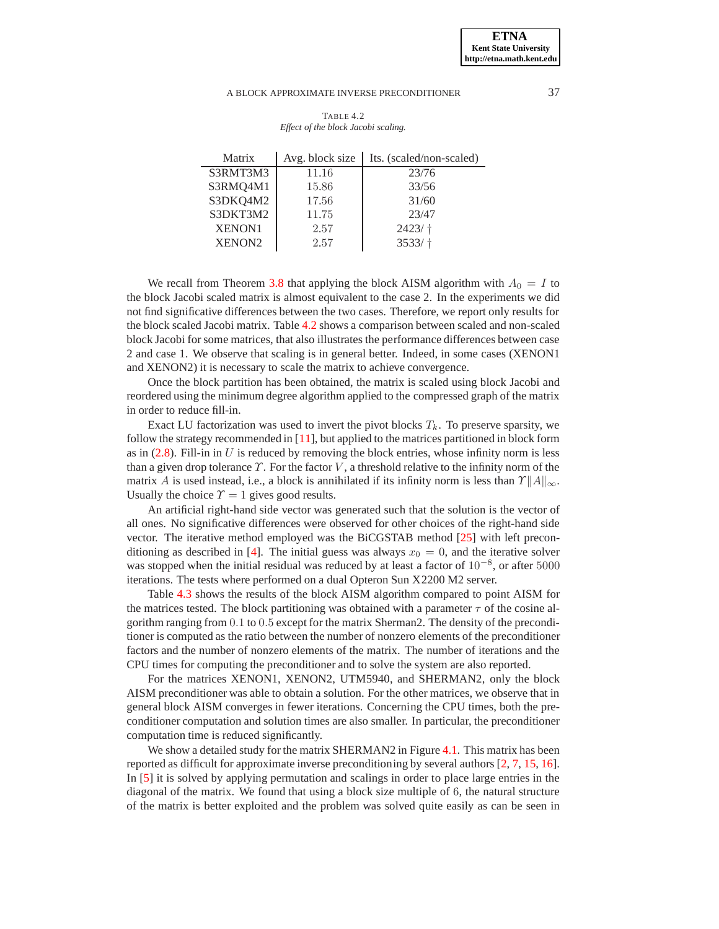<span id="page-14-0"></span>

| Matrix             | Avg. block size | Its. (scaled/non-scaled) |
|--------------------|-----------------|--------------------------|
| S3RMT3M3           | 11.16           | 23/76                    |
| S3RMQ4M1           | 15.86           | 33/56                    |
| S3DKQ4M2           | 17.56           | 31/60                    |
| S3DKT3M2           | 11.75           | 23/47                    |
| <b>XENON1</b>      | 2.57            | $2423/$ †                |
| XENON <sub>2</sub> | 2.57            | $3533/$ t                |
|                    |                 |                          |

TABLE 4.2 *Effect of the block Jacobi scaling.*

We recall from Theorem [3.8](#page-11-0) that applying the block AISM algorithm with  $A_0 = I$  to the block Jacobi scaled matrix is almost equivalent to the case 2. In the experiments we did not find significative differences between the two cases. Therefore, we report only results for the block scaled Jacobi matrix. Table [4.2](#page-14-0) shows a comparison between scaled and non-scaled block Jacobi for some matrices, that also illustrates the performance differences between case 2 and case 1. We observe that scaling is in general better. Indeed, in some cases (XENON1 and XENON2) it is necessary to scale the matrix to achieve convergence.

Once the block partition has been obtained, the matrix is scaled using block Jacobi and reordered using the minimum degree algorithm applied to the compressed graph of the matrix in order to reduce fill-in.

Exact LU factorization was used to invert the pivot blocks  $T_k$ . To preserve sparsity, we follow the strategy recommended in [\[11\]](#page-17-9), but applied to the matrices partitioned in block form as in  $(2.8)$ . Fill-in in U is reduced by removing the block entries, whose infinity norm is less than a given drop tolerance  $\Upsilon$ . For the factor V, a threshold relative to the infinity norm of the matrix A is used instead, i.e., a block is annihilated if its infinity norm is less than  $\gamma \|A\|_{\infty}$ . Usually the choice  $\Upsilon = 1$  gives good results.

An artificial right-hand side vector was generated such that the solution is the vector of all ones. No significative differences were observed for other choices of the right-hand side vector. The iterative method employed was the BiCGSTAB method [\[25\]](#page-17-20) with left precon-ditioning as described in [\[4\]](#page-17-21). The initial guess was always  $x_0 = 0$ , and the iterative solver was stopped when the initial residual was reduced by at least a factor of 10<sup>-8</sup>, or after 5000 iterations. The tests where performed on a dual Opteron Sun X2200 M2 server.

Table [4.3](#page-15-1) shows the results of the block AISM algorithm compared to point AISM for the matrices tested. The block partitioning was obtained with a parameter  $\tau$  of the cosine algorithm ranging from 0.1 to 0.5 except for the matrix Sherman2. The density of the preconditioner is computed as the ratio between the number of nonzero elements of the preconditioner factors and the number of nonzero elements of the matrix. The number of iterations and the CPU times for computing the preconditioner and to solve the system are also reported.

For the matrices XENON1, XENON2, UTM5940, and SHERMAN2, only the block AISM preconditioner was able to obtain a solution. For the other matrices, we observe that in general block AISM converges in fewer iterations. Concerning the CPU times, both the preconditioner computation and solution times are also smaller. In particular, the preconditioner computation time is reduced significantly.

We show a detailed study for the matrix SHERMAN2 in Figure [4.1.](#page-16-3) This matrix has been reported as difficult for approximate inverse preconditioning by several authors [\[2,](#page-16-0) [7,](#page-17-8) [15,](#page-17-22) [16\]](#page-17-6). In [\[5\]](#page-17-23) it is solved by applying permutation and scalings in order to place large entries in the diagonal of the matrix. We found that using a block size multiple of 6, the natural structure of the matrix is better exploited and the problem was solved quite easily as can be seen in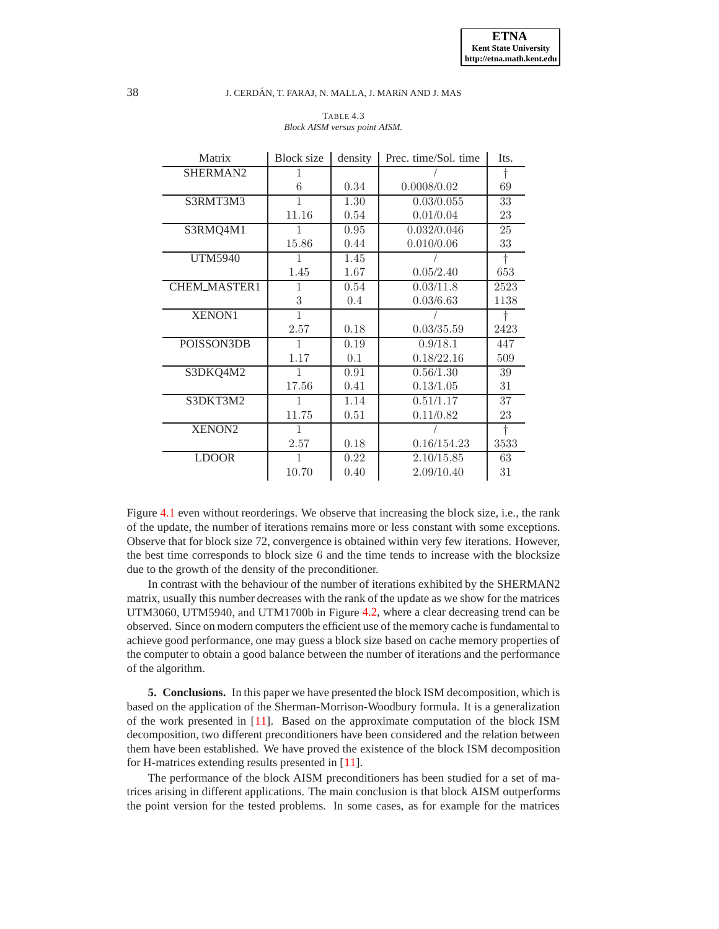<span id="page-15-1"></span>

| Matrix              | Block size   | density | Prec. time/Sol. time | Its.       |
|---------------------|--------------|---------|----------------------|------------|
| SHERMAN2            | 1            |         |                      | $\dagger$  |
|                     | 6            | 0.34    | 0.0008/0.02          | 69         |
| S3RMT3M3            | 1            | 1.30    | 0.03/0.055           | 33         |
|                     | 11.16        | 0.54    | 0.01/0.04            | 23         |
| S3RMQ4M1            | 1            | 0.95    | 0.032/0.046          | 25         |
|                     | 15.86        | 0.44    | 0.010/0.06           | 33         |
| <b>UTM5940</b>      | 1            | 1.45    |                      | $\ddagger$ |
|                     | 1.45         | 1.67    | 0.05/2.40            | 653        |
| <b>CHEM_MASTER1</b> | 1            | 0.54    | 0.03/11.8            | 2523       |
|                     | 3            | 0.4     | 0.03/6.63            | 1138       |
| <b>XENON1</b>       | $\mathbf{1}$ |         |                      |            |
|                     | 2.57         | 0.18    | 0.03/35.59           | 2423       |
| POISSON3DB          | $\mathbf{1}$ | 0.19    | 0.9/18.1             | 447        |
|                     | 1.17         | 0.1     | 0.18/22.16           | 509        |
| S3DKQ4M2            | 1            | 0.91    | 0.56/1.30            | 39         |
|                     | 17.56        | 0.41    | 0.13/1.05            | 31         |
| S3DKT3M2            | 1            | 1.14    | 0.51/1.17            | 37         |
|                     | 11.75        | 0.51    | 0.11/0.82            | 23         |
| XENON2              | $\mathbf{1}$ |         |                      | $\dagger$  |
|                     | 2.57         | 0.18    | 0.16/154.23          | 3533       |
| <b>LDOOR</b>        | 1            | 0.22    | 2.10/15.85           | 63         |
|                     | 10.70        | 0.40    | 2.09/10.40           | 31         |

### TABLE 4.3 *Block AISM versus point AISM.*

Figure [4.1](#page-16-3) even without reorderings. We observe that increasing the block size, i.e., the rank of the update, the number of iterations remains more or less constant with some exceptions. Observe that for block size 72, convergence is obtained within very few iterations. However, the best time corresponds to block size 6 and the time tends to increase with the blocksize due to the growth of the density of the preconditioner.

In contrast with the behaviour of the number of iterations exhibited by the SHERMAN2 matrix, usually this number decreases with the rank of the update as we show for the matrices UTM3060, UTM5940, and UTM1700b in Figure [4.2,](#page-16-4) where a clear decreasing trend can be observed. Since on modern computers the efficient use of the memory cache is fundamental to achieve good performance, one may guess a block size based on cache memory properties of the computer to obtain a good balance between the number of iterations and the performance of the algorithm.

<span id="page-15-0"></span>**5. Conclusions.** In this paper we have presented the block ISM decomposition, which is based on the application of the Sherman-Morrison-Woodbury formula. It is a generalization of the work presented in [\[11\]](#page-17-9). Based on the approximate computation of the block ISM decomposition, two different preconditioners have been considered and the relation between them have been established. We have proved the existence of the block ISM decomposition for H-matrices extending results presented in [\[11\]](#page-17-9).

The performance of the block AISM preconditioners has been studied for a set of matrices arising in different applications. The main conclusion is that block AISM outperforms the point version for the tested problems. In some cases, as for example for the matrices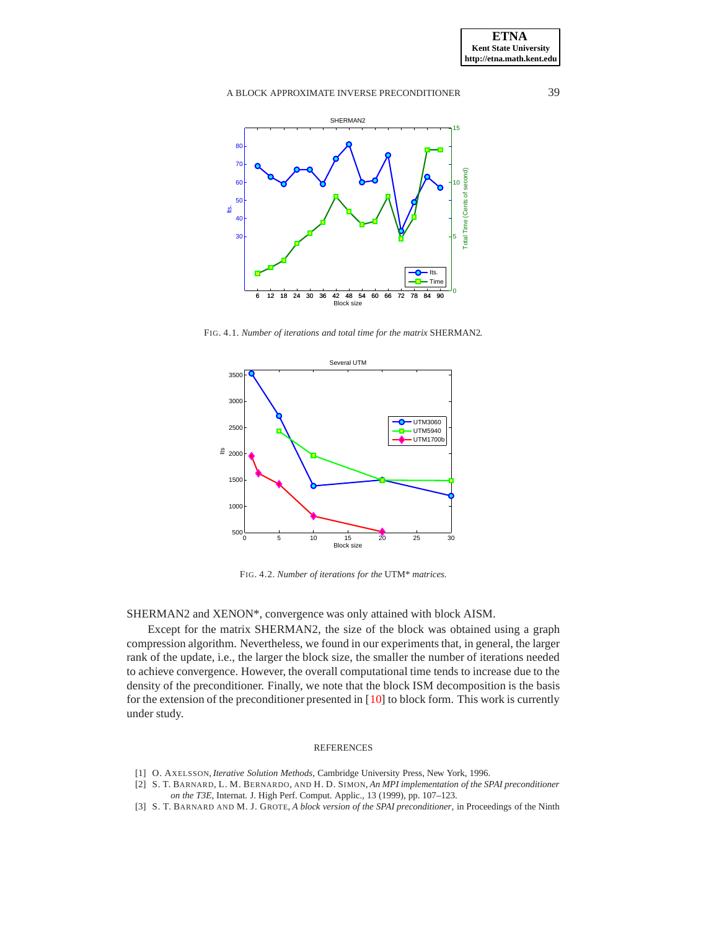

<span id="page-16-3"></span>FIG. 4.1. *Number of iterations and total time for the matrix* SHERMAN2*.*



<span id="page-16-4"></span>FIG. 4.2. *Number of iterations for the* UTM\* *matrices.*

SHERMAN2 and XENON\*, convergence was only attained with block AISM.

Except for the matrix SHERMAN2, the size of the block was obtained using a graph compression algorithm. Nevertheless, we found in our experiments that, in general, the larger rank of the update, i.e., the larger the block size, the smaller the number of iterations needed to achieve convergence. However, the overall computational time tends to increase due to the density of the preconditioner. Finally, we note that the block ISM decomposition is the basis for the extension of the preconditioner presented in [\[10\]](#page-17-10) to block form. This work is currently under study.

#### REFERENCES

- <span id="page-16-2"></span>[1] O. AXELSSON, *Iterative Solution Methods*, Cambridge University Press, New York, 1996.
- <span id="page-16-0"></span>[2] S. T. BARNARD, L. M. BERNARDO, AND H. D. SIMON, *An MPI implementation of the SPAI preconditioner*
	- *on the T3E*, Internat. J. High Perf. Comput. Applic., 13 (1999), pp. 107–123.
- <span id="page-16-1"></span>[3] S. T. BARNARD AND M. J. GROTE, *A block version of the SPAI preconditioner*, in Proceedings of the Ninth